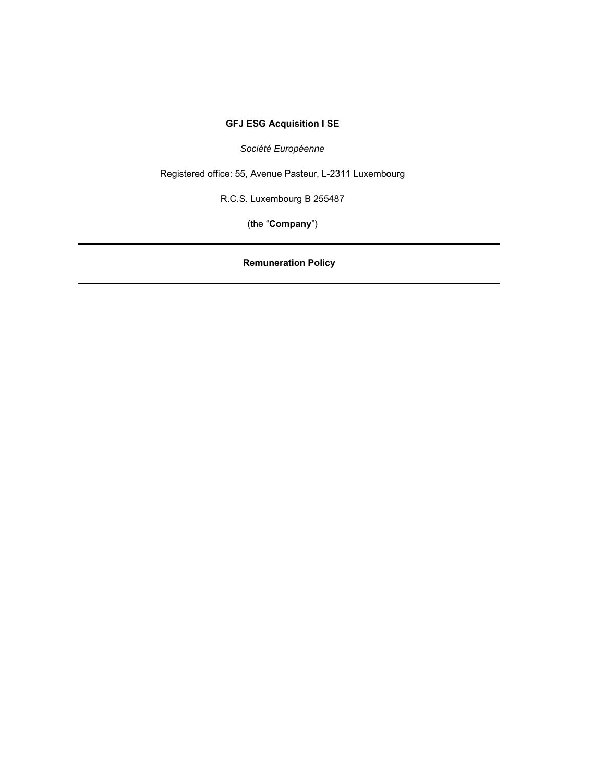# **GFJ ESG Acquisition I SE**

*Société Européenne*

Registered office: 55, Avenue Pasteur, L-2311 Luxembourg

R.C.S. Luxembourg B 255487

(the "**Company**")

**Remuneration Policy**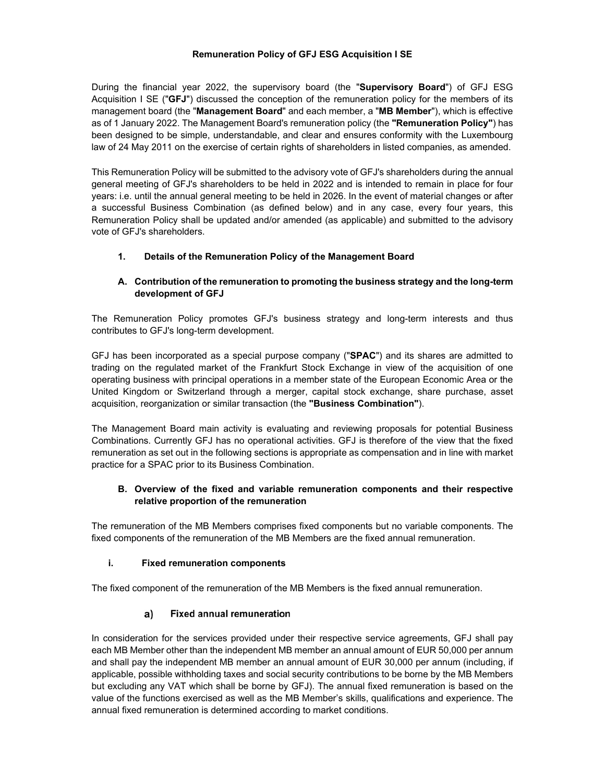#### **Remuneration Policy of GFJ ESG Acquisition I SE**

During the financial year 2022, the supervisory board (the "**Supervisory Board**") of GFJ ESG Acquisition I SE ("**GFJ**") discussed the conception of the remuneration policy for the members of its management board (the "**Management Board**" and each member, a "**MB Member**"), which is effective as of 1 January 2022. The Management Board's remuneration policy (the **"Remuneration Policy"**) has been designed to be simple, understandable, and clear and ensures conformity with the Luxembourg law of 24 May 2011 on the exercise of certain rights of shareholders in listed companies, as amended.

This Remuneration Policy will be submitted to the advisory vote of GFJ's shareholders during the annual general meeting of GFJ's shareholders to be held in 2022 and is intended to remain in place for four years: i.e. until the annual general meeting to be held in 2026. In the event of material changes or after a successful Business Combination (as defined below) and in any case, every four years, this Remuneration Policy shall be updated and/or amended (as applicable) and submitted to the advisory vote of GFJ's shareholders.

# **1. Details of the Remuneration Policy of the Management Board**

### **A. Contribution of the remuneration to promoting the business strategy and the long-term development of GFJ**

The Remuneration Policy promotes GFJ's business strategy and long-term interests and thus contributes to GFJ's long-term development.

GFJ has been incorporated as a special purpose company ("**SPAC**") and its shares are admitted to trading on the regulated market of the Frankfurt Stock Exchange in view of the acquisition of one operating business with principal operations in a member state of the European Economic Area or the United Kingdom or Switzerland through a merger, capital stock exchange, share purchase, asset acquisition, reorganization or similar transaction (the **"Business Combination"**).

The Management Board main activity is evaluating and reviewing proposals for potential Business Combinations. Currently GFJ has no operational activities. GFJ is therefore of the view that the fixed remuneration as set out in the following sections is appropriate as compensation and in line with market practice for a SPAC prior to its Business Combination.

### **B. Overview of the fixed and variable remuneration components and their respective relative proportion of the remuneration**

The remuneration of the MB Members comprises fixed components but no variable components. The fixed components of the remuneration of the MB Members are the fixed annual remuneration.

#### **i. Fixed remuneration components**

The fixed component of the remuneration of the MB Members is the fixed annual remuneration.

#### $a)$ **Fixed annual remuneration**

In consideration for the services provided under their respective service agreements, GFJ shall pay each MB Member other than the independent MB member an annual amount of EUR 50,000 per annum and shall pay the independent MB member an annual amount of EUR 30,000 per annum (including, if applicable, possible withholding taxes and social security contributions to be borne by the MB Members but excluding any VAT which shall be borne by GFJ). The annual fixed remuneration is based on the value of the functions exercised as well as the MB Member's skills, qualifications and experience. The annual fixed remuneration is determined according to market conditions.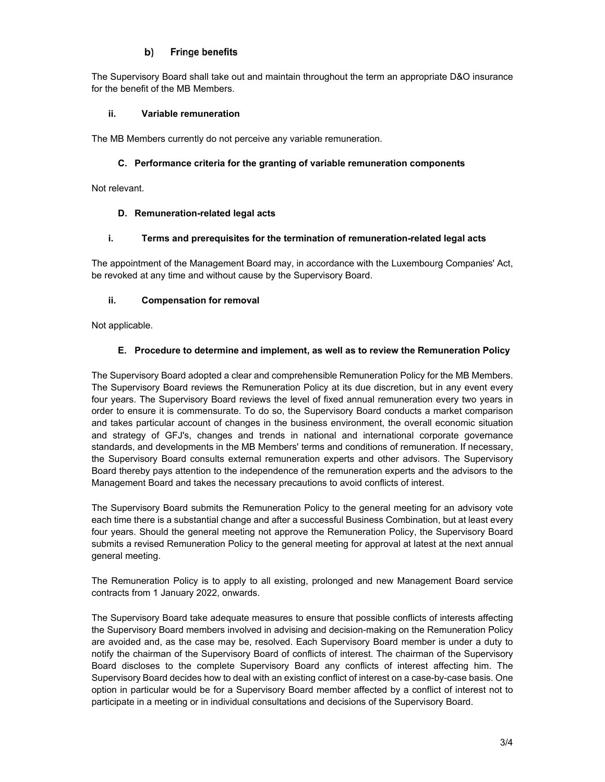#### **Fringe benefits** b)

The Supervisory Board shall take out and maintain throughout the term an appropriate D&O insurance for the benefit of the MB Members.

### **ii. Variable remuneration**

The MB Members currently do not perceive any variable remuneration.

## **C. Performance criteria for the granting of variable remuneration components**

Not relevant.

### **D. Remuneration-related legal acts**

### **i. Terms and prerequisites for the termination of remuneration-related legal acts**

The appointment of the Management Board may, in accordance with the Luxembourg Companies' Act, be revoked at any time and without cause by the Supervisory Board.

### **ii. Compensation for removal**

Not applicable.

### **E. Procedure to determine and implement, as well as to review the Remuneration Policy**

The Supervisory Board adopted a clear and comprehensible Remuneration Policy for the MB Members. The Supervisory Board reviews the Remuneration Policy at its due discretion, but in any event every four years. The Supervisory Board reviews the level of fixed annual remuneration every two years in order to ensure it is commensurate. To do so, the Supervisory Board conducts a market comparison and takes particular account of changes in the business environment, the overall economic situation and strategy of GFJ's, changes and trends in national and international corporate governance standards, and developments in the MB Members' terms and conditions of remuneration. If necessary, the Supervisory Board consults external remuneration experts and other advisors. The Supervisory Board thereby pays attention to the independence of the remuneration experts and the advisors to the Management Board and takes the necessary precautions to avoid conflicts of interest.

The Supervisory Board submits the Remuneration Policy to the general meeting for an advisory vote each time there is a substantial change and after a successful Business Combination, but at least every four years. Should the general meeting not approve the Remuneration Policy, the Supervisory Board submits a revised Remuneration Policy to the general meeting for approval at latest at the next annual general meeting.

The Remuneration Policy is to apply to all existing, prolonged and new Management Board service contracts from 1 January 2022, onwards.

The Supervisory Board take adequate measures to ensure that possible conflicts of interests affecting the Supervisory Board members involved in advising and decision-making on the Remuneration Policy are avoided and, as the case may be, resolved. Each Supervisory Board member is under a duty to notify the chairman of the Supervisory Board of conflicts of interest. The chairman of the Supervisory Board discloses to the complete Supervisory Board any conflicts of interest affecting him. The Supervisory Board decides how to deal with an existing conflict of interest on a case-by-case basis. One option in particular would be for a Supervisory Board member affected by a conflict of interest not to participate in a meeting or in individual consultations and decisions of the Supervisory Board.